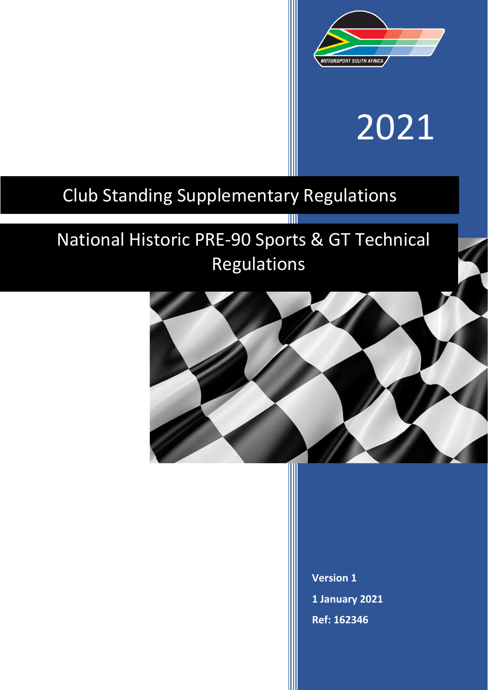

# 2021

## Club Standing Supplementary Regulations

# National Historic PRE-90 Sports & GT Technical Regulations

T



**Version 1 1 January 2021 Ref: 162346**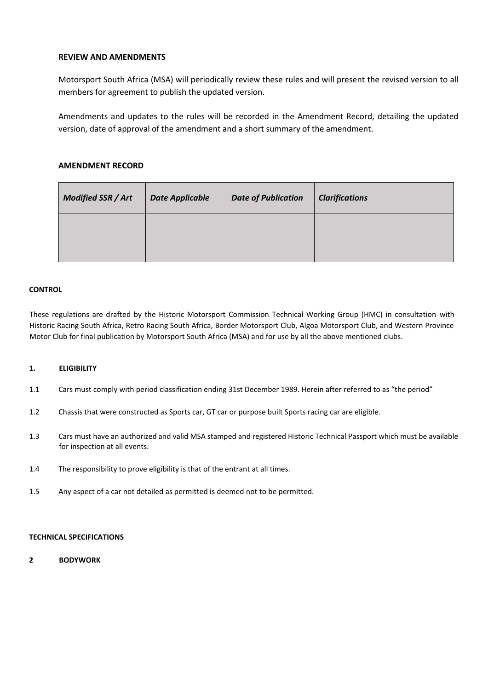### **REVIEW AND AMENDMENTS**

Motorsport South Africa (MSA) will periodically review these rules and will present the revised version to all members for agreement to publish the updated version.

Amendments and updates to the rules will be recorded in the Amendment Record, detailing the updated version, date of approval of the amendment and a short summary of the amendment.

## **AMENDMENT RECORD**

| <b>Modified SSR / Art</b> | <b>Date Applicable</b> | <b>Date of Publication</b> | <b>Clarifications</b> |
|---------------------------|------------------------|----------------------------|-----------------------|
|                           |                        |                            |                       |

#### **CONTROL**

These regulations are drafted by the Historic Motorsport Commission Technical Working Group (HMC) in consultation with Historic Racing South Africa, Retro Racing South Africa, Border Motorsport Club, Algoa Motorsport Club, and Western Province Motor Club for final publication by Motorsport South Africa (MSA) and for use by all the above mentioned clubs.

#### **1. ELIGIBILITY**

- 1.1 Cars must comply with period classification ending 31st December 1989. Herein after referred to as "the period"
- 1.2 Chassis that were constructed as Sports car, GT car or purpose built Sports racing car are eligible.
- 1.3 Cars must have an authorized and valid MSA stamped and registered Historic Technical Passport which must be available for inspection at all events.
- 1.4 The responsibility to prove eligibility is that of the entrant at all times.
- 1.5 Any aspect of a car not detailed as permitted is deemed not to be permitted.

#### **TECHNICAL SPECIFICATIONS**

**2 BODYWORK**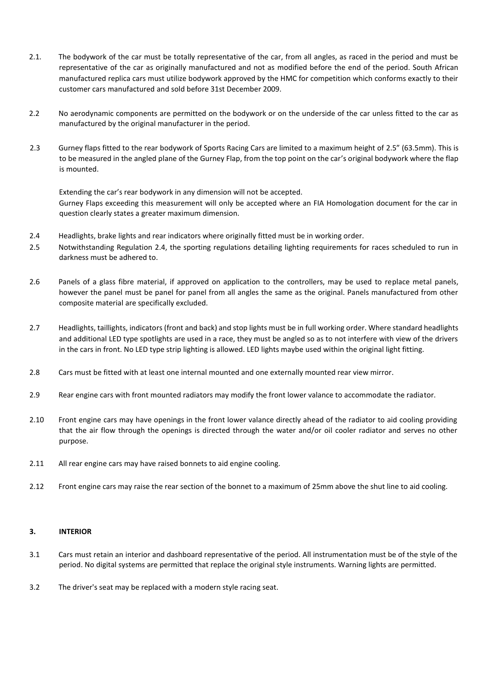- 2.1. The bodywork of the car must be totally representative of the car, from all angles, as raced in the period and must be representative of the car as originally manufactured and not as modified before the end of the period. South African manufactured replica cars must utilize bodywork approved by the HMC for competition which conforms exactly to their customer cars manufactured and sold before 31st December 2009.
- 2.2 No aerodynamic components are permitted on the bodywork or on the underside of the car unless fitted to the car as manufactured by the original manufacturer in the period.
- 2.3 Gurney flaps fitted to the rear bodywork of Sports Racing Cars are limited to a maximum height of 2.5" (63.5mm). This is to be measured in the angled plane of the Gurney Flap, from the top point on the car's original bodywork where the flap is mounted.

Extending the car's rear bodywork in any dimension will not be accepted. Gurney Flaps exceeding this measurement will only be accepted where an FIA Homologation document for the car in question clearly states a greater maximum dimension.

- 2.4 Headlights, brake lights and rear indicators where originally fitted must be in working order.
- 2.5 Notwithstanding Regulation 2.4, the sporting regulations detailing lighting requirements for races scheduled to run in darkness must be adhered to.
- 2.6 Panels of a glass fibre material, if approved on application to the controllers, may be used to replace metal panels, however the panel must be panel for panel from all angles the same as the original. Panels manufactured from other composite material are specifically excluded.
- 2.7 Headlights, taillights, indicators (front and back) and stop lights must be in full working order. Where standard headlights and additional LED type spotlights are used in a race, they must be angled so as to not interfere with view of the drivers in the cars in front. No LED type strip lighting is allowed. LED lights maybe used within the original light fitting.
- 2.8 Cars must be fitted with at least one internal mounted and one externally mounted rear view mirror.
- 2.9 Rear engine cars with front mounted radiators may modify the front lower valance to accommodate the radiator.
- 2.10 Front engine cars may have openings in the front lower valance directly ahead of the radiator to aid cooling providing that the air flow through the openings is directed through the water and/or oil cooler radiator and serves no other purpose.
- 2.11 All rear engine cars may have raised bonnets to aid engine cooling.
- 2.12 Front engine cars may raise the rear section of the bonnet to a maximum of 25mm above the shut line to aid cooling.

#### **3. INTERIOR**

- 3.1 Cars must retain an interior and dashboard representative of the period. All instrumentation must be of the style of the period. No digital systems are permitted that replace the original style instruments. Warning lights are permitted.
- 3.2 The driver's seat may be replaced with a modern style racing seat.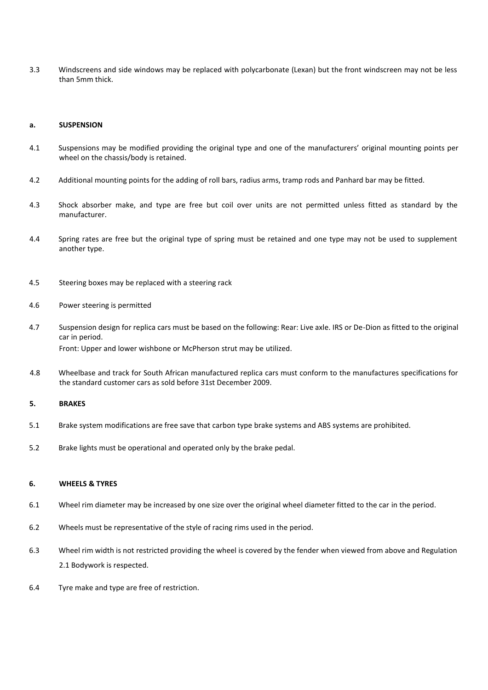3.3 Windscreens and side windows may be replaced with polycarbonate (Lexan) but the front windscreen may not be less than 5mm thick.

#### **a. SUSPENSION**

- 4.1 Suspensions may be modified providing the original type and one of the manufacturers' original mounting points per wheel on the chassis/body is retained.
- 4.2 Additional mounting points for the adding of roll bars, radius arms, tramp rods and Panhard bar may be fitted.
- 4.3 Shock absorber make, and type are free but coil over units are not permitted unless fitted as standard by the manufacturer.
- 4.4 Spring rates are free but the original type of spring must be retained and one type may not be used to supplement another type.
- 4.5 Steering boxes may be replaced with a steering rack
- 4.6 Power steering is permitted
- 4.7 Suspension design for replica cars must be based on the following: Rear: Live axle. IRS or De-Dion as fitted to the original car in period. Front: Upper and lower wishbone or McPherson strut may be utilized.
- 4.8 Wheelbase and track for South African manufactured replica cars must conform to the manufactures specifications for the standard customer cars as sold before 31st December 2009.

#### **5. BRAKES**

- 5.1 Brake system modifications are free save that carbon type brake systems and ABS systems are prohibited.
- 5.2 Brake lights must be operational and operated only by the brake pedal.

#### **6. WHEELS & TYRES**

- 6.1 Wheel rim diameter may be increased by one size over the original wheel diameter fitted to the car in the period.
- 6.2 Wheels must be representative of the style of racing rims used in the period.
- 6.3 Wheel rim width is not restricted providing the wheel is covered by the fender when viewed from above and Regulation 2.1 Bodywork is respected.
- 6.4 Tyre make and type are free of restriction.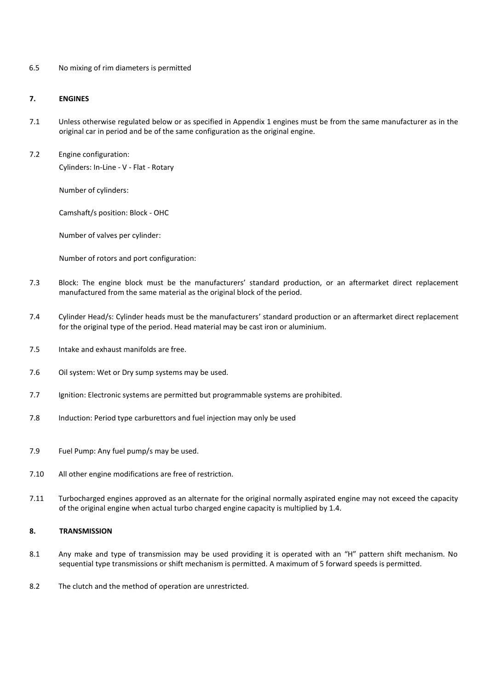6.5 No mixing of rim diameters is permitted

#### **7. ENGINES**

- 7.1 Unless otherwise regulated below or as specified in Appendix 1 engines must be from the same manufacturer as in the original car in period and be of the same configuration as the original engine.
- 7.2 Engine configuration:

Cylinders: In-Line - V - Flat - Rotary

Number of cylinders:

Camshaft/s position: Block - OHC

Number of valves per cylinder:

Number of rotors and port configuration:

- 7.3 Block: The engine block must be the manufacturers' standard production, or an aftermarket direct replacement manufactured from the same material as the original block of the period.
- 7.4 Cylinder Head/s: Cylinder heads must be the manufacturers' standard production or an aftermarket direct replacement for the original type of the period. Head material may be cast iron or aluminium.
- 7.5 Intake and exhaust manifolds are free.
- 7.6 Oil system: Wet or Dry sump systems may be used.
- 7.7 Ignition: Electronic systems are permitted but programmable systems are prohibited.
- 7.8 Induction: Period type carburettors and fuel injection may only be used
- 7.9 Fuel Pump: Any fuel pump/s may be used.
- 7.10 All other engine modifications are free of restriction.
- 7.11 Turbocharged engines approved as an alternate for the original normally aspirated engine may not exceed the capacity of the original engine when actual turbo charged engine capacity is multiplied by 1.4.

#### **8. TRANSMISSION**

- 8.1 Any make and type of transmission may be used providing it is operated with an "H" pattern shift mechanism. No sequential type transmissions or shift mechanism is permitted. A maximum of 5 forward speeds is permitted.
- 8.2 The clutch and the method of operation are unrestricted.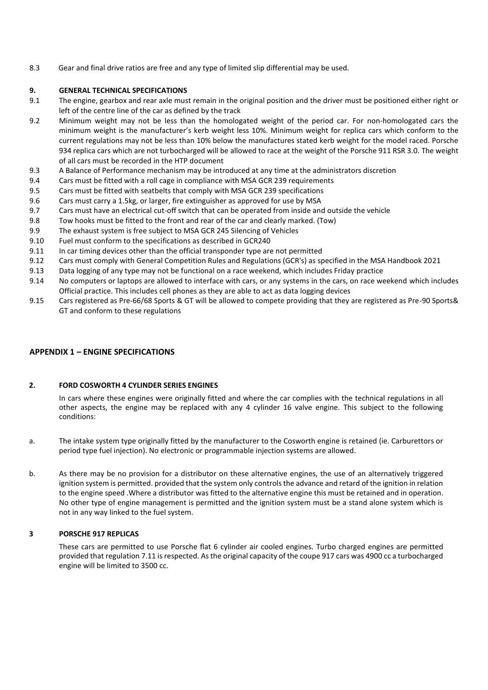8.3 Gear and final drive ratios are free and any type of limited slip differential may be used.

#### **9. GENERAL TECHNICAL SPECIFICATIONS**

- 9.1 The engine, gearbox and rear axle must remain in the original position and the driver must be positioned either right or left of the centre line of the car as defined by the track
- 9.2 Minimum weight may not be less than the homologated weight of the period car. For non-homologated cars the minimum weight is the manufacturer's kerb weight less 10%. Minimum weight for replica cars which conform to the current regulations may not be less than 10% below the manufactures stated kerb weight for the model raced. Porsche 934 replica cars which are not turbocharged will be allowed to race at the weight of the Porsche 911 RSR 3.0. The weight of all cars must be recorded in the HTP document
- 9.3 A Balance of Performance mechanism may be introduced at any time at the administrators discretion
- 9.4 Cars must be fitted with a roll cage in compliance with MSA GCR 239 requirements
- 9.5 Cars must be fitted with seatbelts that comply with MSA GCR 239 specifications
- 9.6 Cars must carry a 1.5kg, or larger, fire extinguisher as approved for use by MSA
- 9.7 Cars must have an electrical cut-off switch that can be operated from inside and outside the vehicle
- 9.8 Tow hooks must be fitted to the front and rear of the car and clearly marked. (Tow)
- 9.9 The exhaust system is free subject to MSA GCR 245 Silencing of Vehicles
- 9.10 Fuel must conform to the specifications as described in GCR240
- 9.11 In car timing devices other than the official transponder type are not permitted
- 9.12 Cars must comply with General Competition Rules and Regulations (GCR's) as specified in the MSA Handbook 2021
- 9.13 Data logging of any type may not be functional on a race weekend, which includes Friday practice
- 9.14 No computers or laptops are allowed to interface with cars, or any systems in the cars, on race weekend which includes Official practice. This includes cell phones as they are able to act as data logging devices
- 9.15 Cars registered as Pre-66/68 Sports & GT will be allowed to compete providing that they are registered as Pre-90 Sports& GT and conform to these regulations

#### **APPENDIX 1 – ENGINE SPECIFICATIONS**

#### **2. FORD COSWORTH 4 CYLINDER SERIES ENGINES**

In cars where these engines were originally fitted and where the car complies with the technical regulations in all other aspects, the engine may be replaced with any 4 cylinder 16 valve engine. This subject to the following conditions:

- a. The intake system type originally fitted by the manufacturer to the Cosworth engine is retained (ie. Carburettors or period type fuel injection). No electronic or programmable injection systems are allowed.
- b. As there may be no provision for a distributor on these alternative engines, the use of an alternatively triggered ignition system is permitted. provided that the system only controls the advance and retard of the ignition in relation to the engine speed .Where a distributor was fitted to the alternative engine this must be retained and in operation. No other type of engine management is permitted and the ignition system must be a stand alone system which is not in any way linked to the fuel system.

#### **3 PORSCHE 917 REPLICAS**

These cars are permitted to use Porsche flat 6 cylinder air cooled engines. Turbo charged engines are permitted provided that regulation 7.11 is respected. As the original capacity of the coupe 917 cars was 4900 cc a turbocharged engine will be limited to 3500 cc.